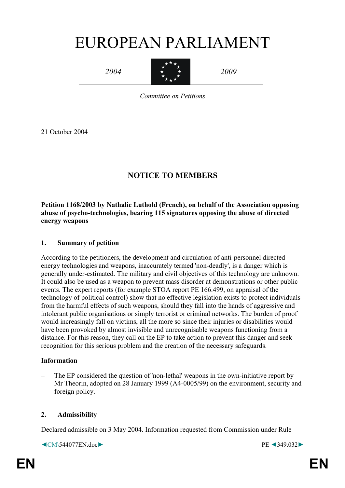# EUROPEAN PARLIAMENT

*2004* 



*2009* 

*Committee on Petitions* 

21 October 2004

## **NOTICE TO MEMBERS**

**Petition 1168/2003 by Nathalie Luthold (French), on behalf of the Association opposing abuse of psycho-technologies, bearing 115 signatures opposing the abuse of directed energy weapons** 

#### **1. Summary of petition**

According to the petitioners, the development and circulation of anti-personnel directed energy technologies and weapons, inaccurately termed 'non-deadly', is a danger which is generally under-estimated. The military and civil objectives of this technology are unknown. It could also be used as a weapon to prevent mass disorder at demonstrations or other public events. The expert reports (for example STOA report PE 166.499, on appraisal of the technology of political control) show that no effective legislation exists to protect individuals from the harmful effects of such weapons, should they fall into the hands of aggressive and intolerant public organisations or simply terrorist or criminal networks. The burden of proof would increasingly fall on victims, all the more so since their injuries or disabilities would have been provoked by almost invisible and unrecognisable weapons functioning from a distance. For this reason, they call on the EP to take action to prevent this danger and seek recognition for this serious problem and the creation of the necessary safeguards.

#### **Information**

– The EP considered the question of 'non-lethal' weapons in the own-initiative report by Mr Theorin, adopted on 28 January 1999 (A4-0005/99) on the environment, security and foreign policy.

#### **2. Admissibility**

Declared admissible on 3 May 2004. Information requested from Commission under Rule

◄CM\544077EN.doc► PE ◄349.032►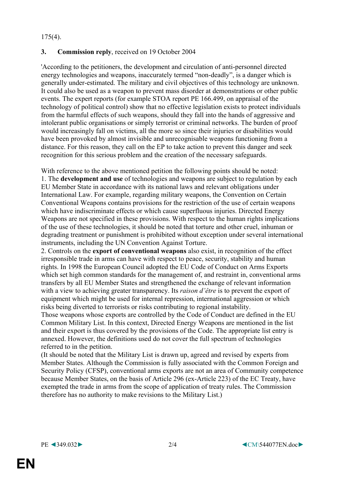175(4).

#### **3. Commission reply**, received on 19 October 2004

'According to the petitioners, the development and circulation of anti-personnel directed energy technologies and weapons, inaccurately termed "non-deadly", is a danger which is generally under-estimated. The military and civil objectives of this technology are unknown. It could also be used as a weapon to prevent mass disorder at demonstrations or other public events. The expert reports (for example STOA report PE 166.499, on appraisal of the technology of political control) show that no effective legislation exists to protect individuals from the harmful effects of such weapons, should they fall into the hands of aggressive and intolerant public organisations or simply terrorist or criminal networks. The burden of proof would increasingly fall on victims, all the more so since their injuries or disabilities would have been provoked by almost invisible and unrecognisable weapons functioning from a distance. For this reason, they call on the EP to take action to prevent this danger and seek recognition for this serious problem and the creation of the necessary safeguards.

With reference to the above mentioned petition the following points should be noted: 1. The **development and use** of technologies and weapons are subject to regulation by each EU Member State in accordance with its national laws and relevant obligations under International Law. For example, regarding military weapons, the Convention on Certain Conventional Weapons contains provisions for the restriction of the use of certain weapons which have indiscriminate effects or which cause superfluous injuries. Directed Energy Weapons are not specified in these provisions. With respect to the human rights implications of the use of these technologies, it should be noted that torture and other cruel, inhuman or degrading treatment or punishment is prohibited without exception under several international instruments, including the UN Convention Against Torture.

2. Controls on the **export of conventional weapons** also exist, in recognition of the effect irresponsible trade in arms can have with respect to peace, security, stability and human rights. In 1998 the European Council adopted the EU Code of Conduct on Arms Exports which set high common standards for the management of, and restraint in, conventional arms transfers by all EU Member States and strengthened the exchange of relevant information with a view to achieving greater transparency. Its *raison d'être* is to prevent the export of equipment which might be used for internal repression, international aggression or which risks being diverted to terrorists or risks contributing to regional instability.

Those weapons whose exports are controlled by the Code of Conduct are defined in the EU Common Military List. In this context, Directed Energy Weapons are mentioned in the list and their export is thus covered by the provisions of the Code. The appropriate list entry is annexed. However, the definitions used do not cover the full spectrum of technologies referred to in the petition.

(It should be noted that the Military List is drawn up, agreed and revised by experts from Member States. Although the Commission is fully associated with the Common Foreign and Security Policy (CFSP), conventional arms exports are not an area of Community competence because Member States, on the basis of Article 296 (ex-Article 223) of the EC Treaty, have exempted the trade in arms from the scope of application of treaty rules. The Commission therefore has no authority to make revisions to the Military List.)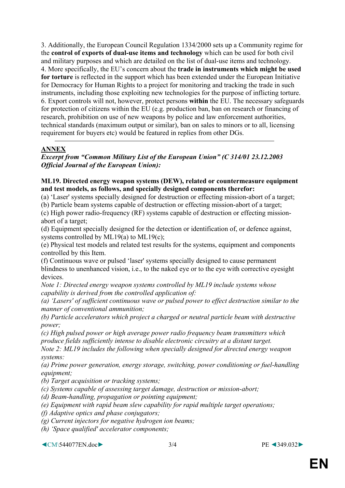3. Additionally, the European Council Regulation 1334/2000 sets up a Community regime for the **control of exports of dual-use items and technology** which can be used for both civil and military purposes and which are detailed on the list of dual-use items and technology. 4. More specifically, the EU's concern about the **trade in instruments which might be used for torture** is reflected in the support which has been extended under the European Initiative for Democracy for Human Rights to a project for monitoring and tracking the trade in such instruments, including those exploiting new technologies for the purpose of inflicting torture. 6. Export controls will not, however, protect persons **within** the EU. The necessary safeguards for protection of citizens within the EU (e.g. production ban, ban on research or financing of research, prohibition on use of new weapons by police and law enforcement authorities, technical standards (maximum output or similar), ban on sales to minors or to all, licensing requirement for buyers etc) would be featured in replies from other DGs.

### **ANNEX**

*Excerpt from "Common Military List of the European Union" (C 314/01 23.12.2003 Official Journal of the European Union):* 

#### **ML19. Directed energy weapon systems (DEW), related or countermeasure equipment and test models, as follows, and specially designed components therefor:**

(a) 'Laser' systems specially designed for destruction or effecting mission-abort of a target;

(b) Particle beam systems capable of destruction or effecting mission-abort of a target;

(c) High power radio-frequency (RF) systems capable of destruction or effecting missionabort of a target;

(d) Equipment specially designed for the detection or identification of, or defence against, systems controlled by ML19(a) to ML19(c);

(e) Physical test models and related test results for the systems, equipment and components controlled by this Item.

(f) Continuous wave or pulsed 'laser' systems specially designed to cause permanent blindness to unenhanced vision, i.e., to the naked eye or to the eye with corrective eyesight devices.

*Note 1: Directed energy weapon systems controlled by ML19 include systems whose capability is derived from the controlled application of:* 

*(a) 'Lasers' of sufficient continuous wave or pulsed power to effect destruction similar to the manner of conventional ammunition;* 

*(b) Particle accelerators which project a charged or neutral particle beam with destructive power;* 

*(c) High pulsed power or high average power radio frequency beam transmitters which produce fields sufficiently intense to disable electronic circuitry at a distant target.* 

*Note 2: ML19 includes the following when specially designed for directed energy weapon systems:* 

*(a) Prime power generation, energy storage, switching, power conditioning or fuel-handling equipment;* 

*(b) Target acquisition or tracking systems;* 

*(c) Systems capable of assessing target damage, destruction or mission-abort;* 

*(d) Beam-handling, propagation or pointing equipment;* 

*(e) Equipment with rapid beam slew capability for rapid multiple target operations;* 

- *(f) Adaptive optics and phase conjugators;*
- *(g) Current injectors for negative hydrogen ion beams;*

*(h) 'Space qualified' accelerator components;* 

◄CM\544077EN.doc► 3/4 PE ◄349.032►